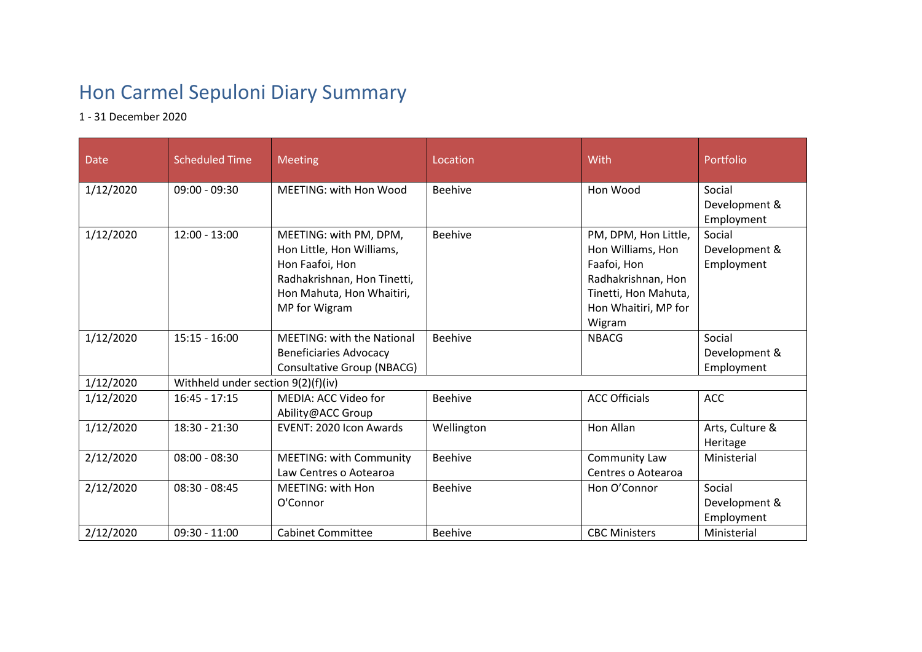## Hon Carmel Sepuloni Diary Summary

1 - 31 December 2020

| Date      | <b>Scheduled Time</b>              | <b>Meeting</b>                                                                                                                                      | Location       | <b>With</b>                                                                                                                              | Portfolio                             |  |  |
|-----------|------------------------------------|-----------------------------------------------------------------------------------------------------------------------------------------------------|----------------|------------------------------------------------------------------------------------------------------------------------------------------|---------------------------------------|--|--|
| 1/12/2020 | $09:00 - 09:30$                    | <b>MEETING: with Hon Wood</b>                                                                                                                       | <b>Beehive</b> | Hon Wood                                                                                                                                 | Social<br>Development &<br>Employment |  |  |
| 1/12/2020 | $12:00 - 13:00$                    | MEETING: with PM, DPM,<br>Hon Little, Hon Williams,<br>Hon Faafoi, Hon<br>Radhakrishnan, Hon Tinetti,<br>Hon Mahuta, Hon Whaitiri,<br>MP for Wigram | <b>Beehive</b> | PM, DPM, Hon Little,<br>Hon Williams, Hon<br>Faafoi, Hon<br>Radhakrishnan, Hon<br>Tinetti, Hon Mahuta,<br>Hon Whaitiri, MP for<br>Wigram | Social<br>Development &<br>Employment |  |  |
| 1/12/2020 | $15:15 - 16:00$                    | <b>MEETING: with the National</b><br><b>Beneficiaries Advocacy</b><br>Consultative Group (NBACG)                                                    | <b>Beehive</b> | <b>NBACG</b>                                                                                                                             | Social<br>Development &<br>Employment |  |  |
| 1/12/2020 | Withheld under section 9(2)(f)(iv) |                                                                                                                                                     |                |                                                                                                                                          |                                       |  |  |
| 1/12/2020 | $16:45 - 17:15$                    | MEDIA: ACC Video for<br>Ability@ACC Group                                                                                                           | <b>Beehive</b> | <b>ACC Officials</b>                                                                                                                     | <b>ACC</b>                            |  |  |
| 1/12/2020 | 18:30 - 21:30                      | EVENT: 2020 Icon Awards                                                                                                                             | Wellington     | Hon Allan                                                                                                                                | Arts, Culture &<br>Heritage           |  |  |
| 2/12/2020 | $08:00 - 08:30$                    | <b>MEETING: with Community</b><br>Law Centres o Aotearoa                                                                                            | <b>Beehive</b> | Community Law<br>Centres o Aotearoa                                                                                                      | Ministerial                           |  |  |
| 2/12/2020 | $08:30 - 08:45$                    | <b>MEETING: with Hon</b><br>O'Connor                                                                                                                | <b>Beehive</b> | Hon O'Connor                                                                                                                             | Social<br>Development &<br>Employment |  |  |
| 2/12/2020 | $09:30 - 11:00$                    | <b>Cabinet Committee</b>                                                                                                                            | <b>Beehive</b> | <b>CBC Ministers</b>                                                                                                                     | Ministerial                           |  |  |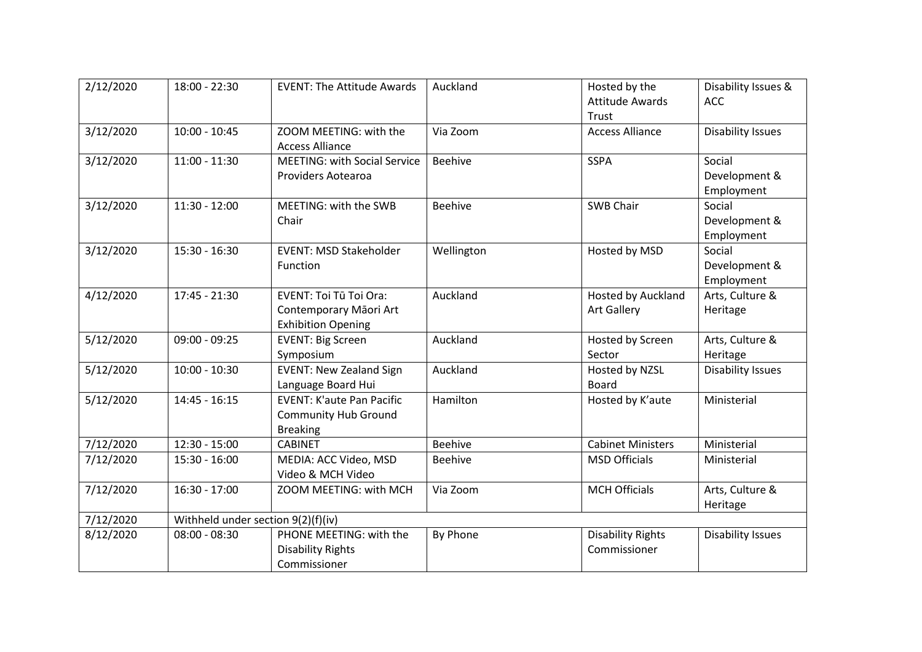| 2/12/2020 | 18:00 - 22:30   | <b>EVENT: The Attitude Awards</b>                                                    | Auckland       | Hosted by the<br><b>Attitude Awards</b>         | Disability Issues &<br><b>ACC</b>     |  |  |
|-----------|-----------------|--------------------------------------------------------------------------------------|----------------|-------------------------------------------------|---------------------------------------|--|--|
| 3/12/2020 | $10:00 - 10:45$ | ZOOM MEETING: with the<br><b>Access Alliance</b>                                     | Via Zoom       | Trust<br><b>Access Alliance</b>                 | <b>Disability Issues</b>              |  |  |
| 3/12/2020 | $11:00 - 11:30$ | <b>MEETING: with Social Service</b><br>Providers Aotearoa                            | <b>Beehive</b> | <b>SSPA</b>                                     | Social<br>Development &<br>Employment |  |  |
| 3/12/2020 | $11:30 - 12:00$ | MEETING: with the SWB<br>Chair                                                       | <b>Beehive</b> | <b>SWB Chair</b>                                | Social<br>Development &<br>Employment |  |  |
| 3/12/2020 | $15:30 - 16:30$ | <b>EVENT: MSD Stakeholder</b><br>Function                                            | Wellington     | Hosted by MSD                                   | Social<br>Development &<br>Employment |  |  |
| 4/12/2020 | $17:45 - 21:30$ | <b>EVENT: Toi Tū Toi Ora:</b><br>Contemporary Māori Art<br><b>Exhibition Opening</b> | Auckland       | <b>Hosted by Auckland</b><br><b>Art Gallery</b> | Arts, Culture &<br>Heritage           |  |  |
| 5/12/2020 | $09:00 - 09:25$ | <b>EVENT: Big Screen</b><br>Symposium                                                | Auckland       | Hosted by Screen<br>Sector                      | Arts, Culture &<br>Heritage           |  |  |
| 5/12/2020 | $10:00 - 10:30$ | <b>EVENT: New Zealand Sign</b><br>Language Board Hui                                 | Auckland       | Hosted by NZSL<br>Board                         | Disability Issues                     |  |  |
| 5/12/2020 | $14:45 - 16:15$ | <b>EVENT: K'aute Pan Pacific</b><br><b>Community Hub Ground</b><br><b>Breaking</b>   | Hamilton       | Hosted by K'aute                                | Ministerial                           |  |  |
| 7/12/2020 | $12:30 - 15:00$ | <b>CABINET</b>                                                                       | <b>Beehive</b> | <b>Cabinet Ministers</b>                        | Ministerial                           |  |  |
| 7/12/2020 | $15:30 - 16:00$ | MEDIA: ACC Video, MSD<br>Video & MCH Video                                           | <b>Beehive</b> | <b>MSD Officials</b>                            | Ministerial                           |  |  |
| 7/12/2020 | 16:30 - 17:00   | ZOOM MEETING: with MCH                                                               | Via Zoom       | <b>MCH Officials</b>                            | Arts, Culture &<br>Heritage           |  |  |
| 7/12/2020 |                 | Withheld under section 9(2)(f)(iv)                                                   |                |                                                 |                                       |  |  |
| 8/12/2020 | $08:00 - 08:30$ | PHONE MEETING: with the<br><b>Disability Rights</b><br>Commissioner                  | By Phone       | <b>Disability Rights</b><br>Commissioner        | <b>Disability Issues</b>              |  |  |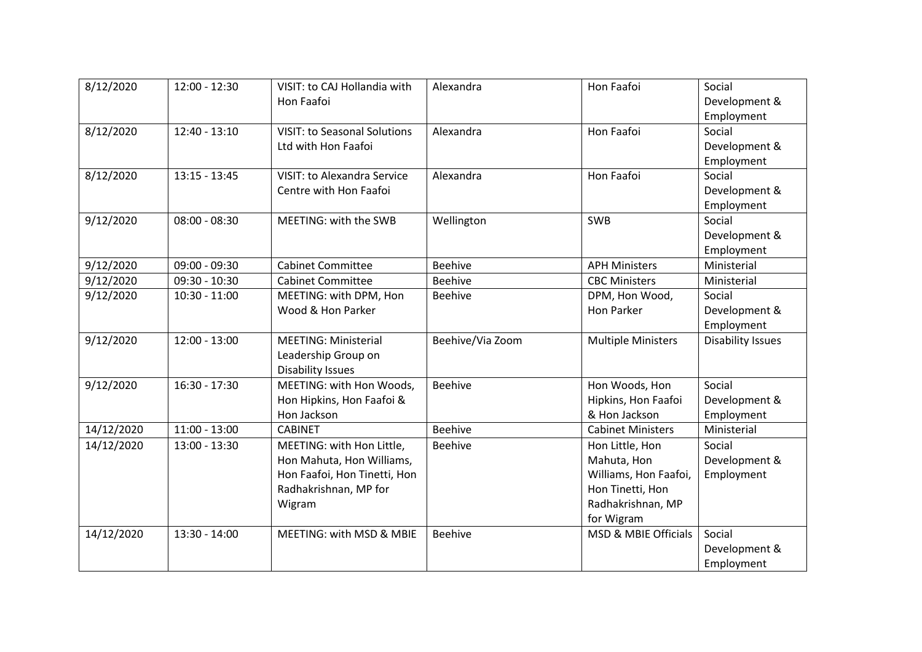| 8/12/2020  | 12:00 - 12:30   | VISIT: to CAJ Hollandia with<br>Hon Faafoi | Alexandra        | Hon Faafoi                      | Social<br>Development &  |
|------------|-----------------|--------------------------------------------|------------------|---------------------------------|--------------------------|
|            |                 |                                            |                  |                                 | Employment               |
| 8/12/2020  | $12:40 - 13:10$ | <b>VISIT: to Seasonal Solutions</b>        | Alexandra        | Hon Faafoi                      | Social                   |
|            |                 | Ltd with Hon Faafoi                        |                  |                                 | Development &            |
|            |                 |                                            |                  |                                 | Employment               |
| 8/12/2020  | $13:15 - 13:45$ | <b>VISIT: to Alexandra Service</b>         | Alexandra        | Hon Faafoi                      | Social                   |
|            |                 | Centre with Hon Faafoi                     |                  |                                 | Development &            |
|            |                 |                                            |                  |                                 | Employment               |
| 9/12/2020  | $08:00 - 08:30$ | MEETING: with the SWB                      | Wellington       | <b>SWB</b>                      | Social                   |
|            |                 |                                            |                  |                                 | Development &            |
|            |                 |                                            |                  |                                 | Employment               |
| 9/12/2020  | $09:00 - 09:30$ | <b>Cabinet Committee</b>                   | <b>Beehive</b>   | <b>APH Ministers</b>            | Ministerial              |
| 9/12/2020  | $09:30 - 10:30$ | <b>Cabinet Committee</b>                   | <b>Beehive</b>   | <b>CBC Ministers</b>            | Ministerial              |
| 9/12/2020  | $10:30 - 11:00$ | MEETING: with DPM, Hon                     | <b>Beehive</b>   | DPM, Hon Wood,                  | Social                   |
|            |                 | Wood & Hon Parker                          |                  | <b>Hon Parker</b>               | Development &            |
|            |                 |                                            |                  |                                 | Employment               |
| 9/12/2020  | $12:00 - 13:00$ | <b>MEETING: Ministerial</b>                | Beehive/Via Zoom | <b>Multiple Ministers</b>       | <b>Disability Issues</b> |
|            |                 | Leadership Group on                        |                  |                                 |                          |
|            |                 | <b>Disability Issues</b>                   |                  |                                 |                          |
| 9/12/2020  | $16:30 - 17:30$ | MEETING: with Hon Woods,                   | <b>Beehive</b>   | Hon Woods, Hon                  | Social                   |
|            |                 | Hon Hipkins, Hon Faafoi &                  |                  | Hipkins, Hon Faafoi             | Development &            |
|            |                 | Hon Jackson                                |                  | & Hon Jackson                   | Employment               |
| 14/12/2020 | $11:00 - 13:00$ | <b>CABINET</b>                             | <b>Beehive</b>   | <b>Cabinet Ministers</b>        | Ministerial              |
| 14/12/2020 | 13:00 - 13:30   | MEETING: with Hon Little,                  | <b>Beehive</b>   | Hon Little, Hon                 | Social                   |
|            |                 | Hon Mahuta, Hon Williams,                  |                  | Mahuta, Hon                     | Development &            |
|            |                 | Hon Faafoi, Hon Tinetti, Hon               |                  | Williams, Hon Faafoi,           | Employment               |
|            |                 | Radhakrishnan, MP for                      |                  | Hon Tinetti, Hon                |                          |
|            |                 | Wigram                                     |                  | Radhakrishnan, MP               |                          |
|            |                 |                                            |                  | for Wigram                      |                          |
| 14/12/2020 | $13:30 - 14:00$ | MEETING: with MSD & MBIE                   | <b>Beehive</b>   | <b>MSD &amp; MBIE Officials</b> | Social                   |
|            |                 |                                            |                  |                                 | Development &            |
|            |                 |                                            |                  |                                 | Employment               |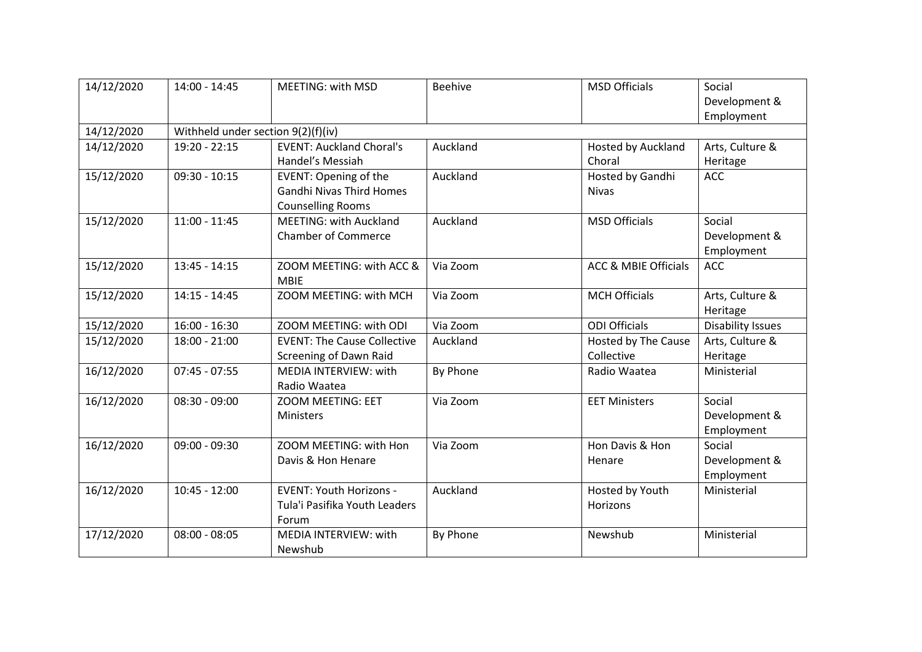| 14/12/2020 | $14:00 - 14:45$                    | <b>MEETING: with MSD</b>                | <b>Beehive</b> | <b>MSD Officials</b>            | Social<br>Development &  |  |  |
|------------|------------------------------------|-----------------------------------------|----------------|---------------------------------|--------------------------|--|--|
|            |                                    |                                         |                |                                 | Employment               |  |  |
| 14/12/2020 | Withheld under section 9(2)(f)(iv) |                                         |                |                                 |                          |  |  |
| 14/12/2020 | 19:20 - 22:15                      | <b>EVENT: Auckland Choral's</b>         | Auckland       | <b>Hosted by Auckland</b>       | Arts, Culture &          |  |  |
|            |                                    | Handel's Messiah                        |                | Choral                          | Heritage                 |  |  |
| 15/12/2020 | $09:30 - 10:15$                    | <b>EVENT: Opening of the</b>            | Auckland       | Hosted by Gandhi                | <b>ACC</b>               |  |  |
|            |                                    | <b>Gandhi Nivas Third Homes</b>         |                | <b>Nivas</b>                    |                          |  |  |
|            |                                    | <b>Counselling Rooms</b>                |                |                                 |                          |  |  |
| 15/12/2020 | $11:00 - 11:45$                    | <b>MEETING: with Auckland</b>           | Auckland       | <b>MSD Officials</b>            | Social                   |  |  |
|            |                                    | <b>Chamber of Commerce</b>              |                |                                 | Development &            |  |  |
|            |                                    |                                         |                |                                 | Employment               |  |  |
| 15/12/2020 | $13:45 - 14:15$                    | ZOOM MEETING: with ACC &<br><b>MBIE</b> | Via Zoom       | <b>ACC &amp; MBIE Officials</b> | <b>ACC</b>               |  |  |
| 15/12/2020 | $14:15 - 14:45$                    | ZOOM MEETING: with MCH                  | Via Zoom       | <b>MCH Officials</b>            | Arts, Culture &          |  |  |
|            |                                    |                                         |                |                                 | Heritage                 |  |  |
| 15/12/2020 | $16:00 - 16:30$                    | ZOOM MEETING: with ODI                  | Via Zoom       | <b>ODI Officials</b>            | <b>Disability Issues</b> |  |  |
| 15/12/2020 | $18:00 - 21:00$                    | <b>EVENT: The Cause Collective</b>      | Auckland       | Hosted by The Cause             | Arts, Culture &          |  |  |
|            |                                    | Screening of Dawn Raid                  |                | Collective                      | Heritage                 |  |  |
| 16/12/2020 | $07:45 - 07:55$                    | MEDIA INTERVIEW: with                   | By Phone       | Radio Waatea                    | Ministerial              |  |  |
|            |                                    | Radio Waatea                            |                |                                 |                          |  |  |
| 16/12/2020 | $08:30 - 09:00$                    | ZOOM MEETING: EET                       | Via Zoom       | <b>EET Ministers</b>            | Social                   |  |  |
|            |                                    | Ministers                               |                |                                 | Development &            |  |  |
|            |                                    |                                         |                |                                 | Employment               |  |  |
| 16/12/2020 | $09:00 - 09:30$                    | ZOOM MEETING: with Hon                  | Via Zoom       | Hon Davis & Hon                 | Social                   |  |  |
|            |                                    | Davis & Hon Henare                      |                | Henare                          | Development &            |  |  |
|            |                                    |                                         |                |                                 | Employment               |  |  |
| 16/12/2020 | $10:45 - 12:00$                    | <b>EVENT: Youth Horizons -</b>          | Auckland       | Hosted by Youth                 | Ministerial              |  |  |
|            |                                    | Tula'i Pasifika Youth Leaders           |                | <b>Horizons</b>                 |                          |  |  |
|            |                                    | Forum                                   |                |                                 |                          |  |  |
| 17/12/2020 | $08:00 - 08:05$                    | MEDIA INTERVIEW: with                   | By Phone       | Newshub                         | Ministerial              |  |  |
|            |                                    | Newshub                                 |                |                                 |                          |  |  |